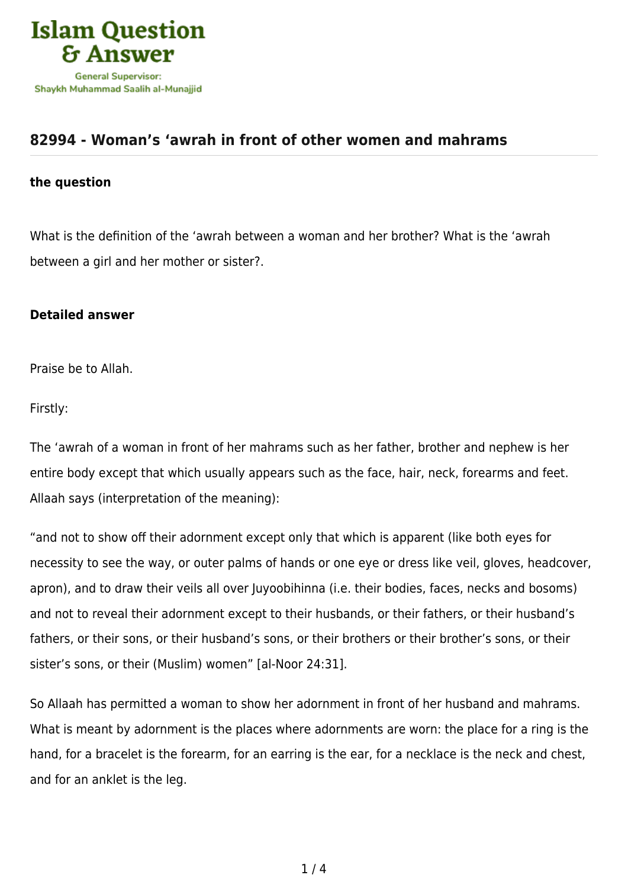

## **[82994 - Woman's 'awrah in front of other women and mahrams](https://islamqa.com/en/answers/82994/womans-awrah-in-front-of-other-women-and-mahrams)**

## **the question**

What is the definition of the 'awrah between a woman and her brother? What is the 'awrah between a girl and her mother or sister?.

## **Detailed answer**

Praise be to Allah.

Firstly:

The 'awrah of a woman in front of her mahrams such as her father, brother and nephew is her entire body except that which usually appears such as the face, hair, neck, forearms and feet. Allaah says (interpretation of the meaning):

"and not to show off their adornment except only that which is apparent (like both eyes for necessity to see the way, or outer palms of hands or one eye or dress like veil, gloves, headcover, apron), and to draw their veils all over Juyoobihinna (i.e. their bodies, faces, necks and bosoms) and not to reveal their adornment except to their husbands, or their fathers, or their husband's fathers, or their sons, or their husband's sons, or their brothers or their brother's sons, or their sister's sons, or their (Muslim) women" [al-Noor 24:31].

So Allaah has permitted a woman to show her adornment in front of her husband and mahrams. What is meant by adornment is the places where adornments are worn: the place for a ring is the hand, for a bracelet is the forearm, for an earring is the ear, for a necklace is the neck and chest, and for an anklet is the leg.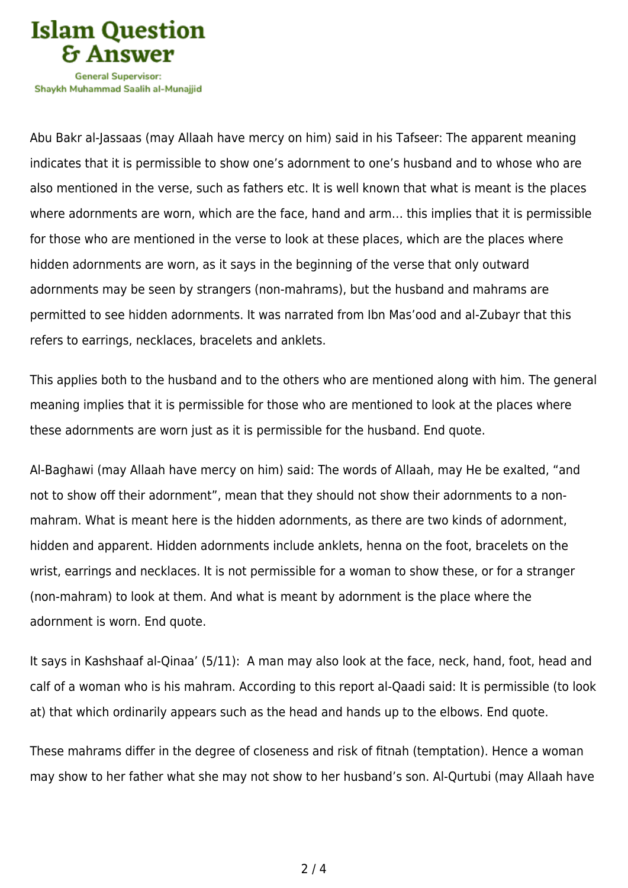

Shavkh Muhammad Saalih al-Munaiiid

Abu Bakr al-Jassaas (may Allaah have mercy on him) said in his Tafseer: The apparent meaning indicates that it is permissible to show one's adornment to one's husband and to whose who are also mentioned in the verse, such as fathers etc. It is well known that what is meant is the places where adornments are worn, which are the face, hand and arm… this implies that it is permissible for those who are mentioned in the verse to look at these places, which are the places where hidden adornments are worn, as it says in the beginning of the verse that only outward adornments may be seen by strangers (non-mahrams), but the husband and mahrams are permitted to see hidden adornments. It was narrated from Ibn Mas'ood and al-Zubayr that this refers to earrings, necklaces, bracelets and anklets.

This applies both to the husband and to the others who are mentioned along with him. The general meaning implies that it is permissible for those who are mentioned to look at the places where these adornments are worn just as it is permissible for the husband. End quote.

Al-Baghawi (may Allaah have mercy on him) said: The words of Allaah, may He be exalted, "and not to show off their adornment", mean that they should not show their adornments to a nonmahram. What is meant here is the hidden adornments, as there are two kinds of adornment, hidden and apparent. Hidden adornments include anklets, henna on the foot, bracelets on the wrist, earrings and necklaces. It is not permissible for a woman to show these, or for a stranger (non-mahram) to look at them. And what is meant by adornment is the place where the adornment is worn. End quote.

It says in Kashshaaf al-Qinaa' (5/11): A man may also look at the face, neck, hand, foot, head and calf of a woman who is his mahram. According to this report al-Qaadi said: It is permissible (to look at) that which ordinarily appears such as the head and hands up to the elbows. End quote.

These mahrams differ in the degree of closeness and risk of fitnah (temptation). Hence a woman may show to her father what she may not show to her husband's son. Al-Qurtubi (may Allaah have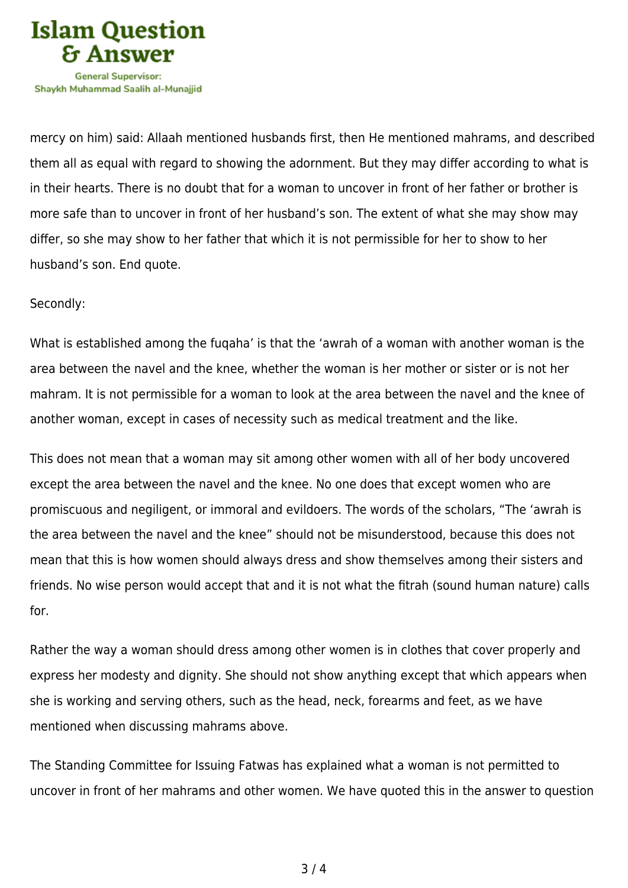

mercy on him) said: Allaah mentioned husbands first, then He mentioned mahrams, and described them all as equal with regard to showing the adornment. But they may differ according to what is in their hearts. There is no doubt that for a woman to uncover in front of her father or brother is more safe than to uncover in front of her husband's son. The extent of what she may show may differ, so she may show to her father that which it is not permissible for her to show to her husband's son. End quote.

## Secondly:

What is established among the fuqaha' is that the 'awrah of a woman with another woman is the area between the navel and the knee, whether the woman is her mother or sister or is not her mahram. It is not permissible for a woman to look at the area between the navel and the knee of another woman, except in cases of necessity such as medical treatment and the like.

This does not mean that a woman may sit among other women with all of her body uncovered except the area between the navel and the knee. No one does that except women who are promiscuous and negiligent, or immoral and evildoers. The words of the scholars, "The 'awrah is the area between the navel and the knee" should not be misunderstood, because this does not mean that this is how women should always dress and show themselves among their sisters and friends. No wise person would accept that and it is not what the fitrah (sound human nature) calls for.

Rather the way a woman should dress among other women is in clothes that cover properly and express her modesty and dignity. She should not show anything except that which appears when she is working and serving others, such as the head, neck, forearms and feet, as we have mentioned when discussing mahrams above.

The Standing Committee for Issuing Fatwas has explained what a woman is not permitted to uncover in front of her mahrams and other women. We have quoted this in the answer to question